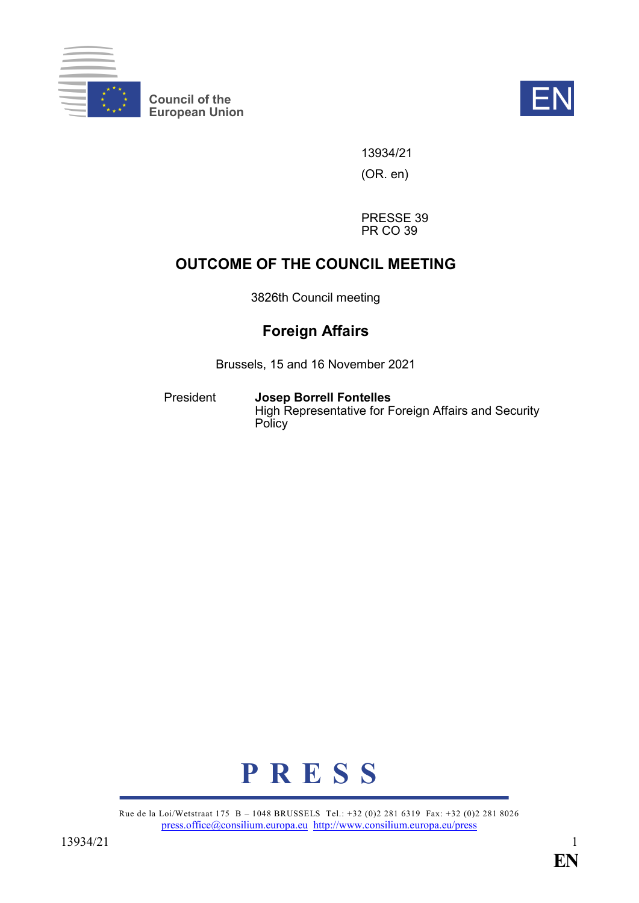

**Council of the EXECUTE:**<br>
European Union



13934/21

(OR. en)

PRESSE 39 PR CO 39

# **OUTCOME OF THE COUNCIL MEETING**

3826th Council meeting

# **Foreign Affairs**

Brussels, 15 and 16 November 2021

President **Josep Borrell Fontelles** High Representative for Foreign Affairs and Security **Policy** 



Rue de la Loi/Wetstraat 175 B – 1048 BRUSSELS Tel.: +32 (0)2 281 6319 Fax: +32 (0)2 281 8026 [press.office@consilium.europa.eu](mailto:press.office@consilium.europa.eu) <http://www.consilium.europa.eu/press>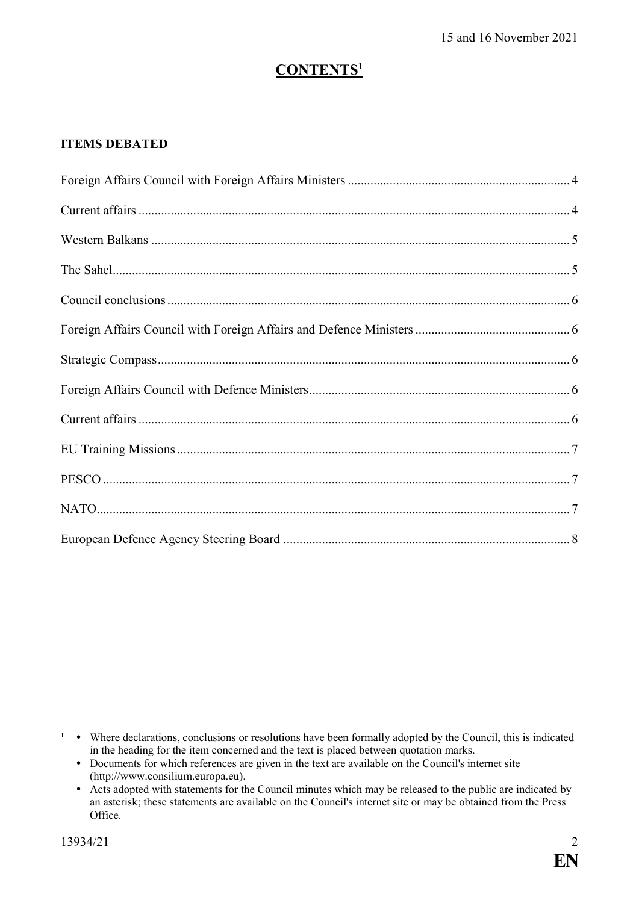# **CONTENTS<sup>1</sup>**

# **ITEMS DEBATED**

<sup>1</sup> • Where declarations, conclusions or resolutions have been formally adopted by the Council, this is indicated in the heading for the item concerned and the text is placed between quotation marks.

- Documents for which references are given in the text are available on the Council's internet site (http://www.consilium.europa.eu).
- Acts adopted with statements for the Council minutes which may be released to the public are indicated by an asterisk; these statements are available on the Council's internet site or may be obtained from the Press Office.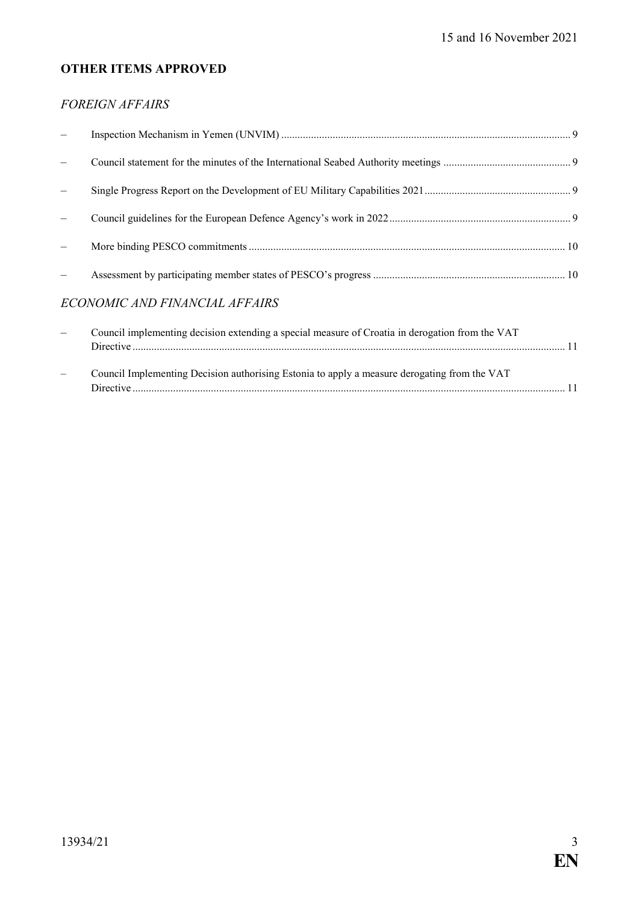# **OTHER ITEMS APPROVED**

## *FOREIGN AFFAIRS*

| ECONOMIC AND FINANCIAL AFFAIRS                                                                         |  |
|--------------------------------------------------------------------------------------------------------|--|
| $\sim$ Council implementing decision extending a special measure of Croatia in derogation from the VAT |  |

| Council implementing decision extending a special measure of Croatia in derogation from the VAT |  |
|-------------------------------------------------------------------------------------------------|--|
|                                                                                                 |  |
|                                                                                                 |  |
| Council Implementing Decision authorising Estonia to apply a measure derogating from the VAT    |  |
|                                                                                                 |  |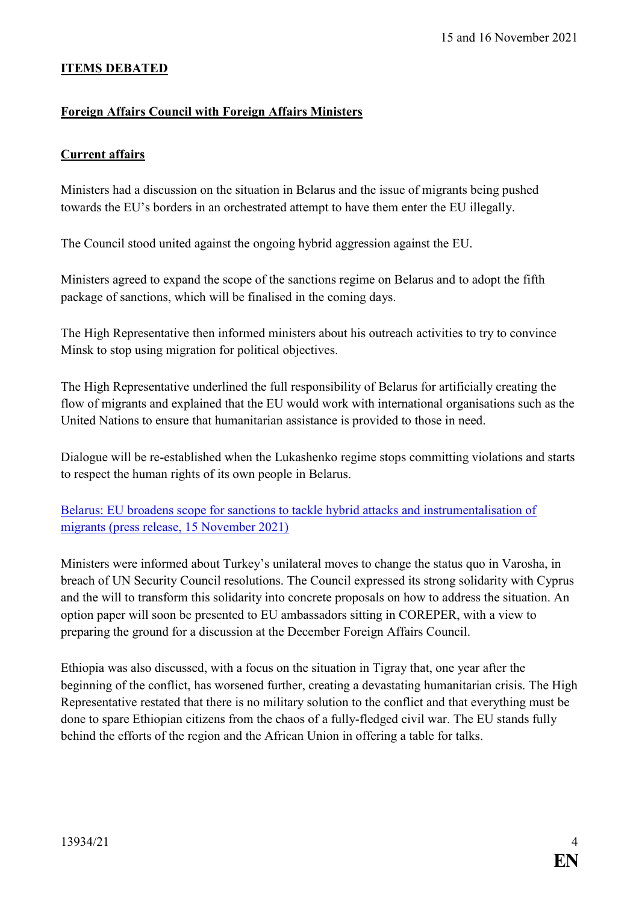### **ITEMS DEBATED**

### <span id="page-3-0"></span>**Foreign Affairs Council with Foreign Affairs Ministers**

### <span id="page-3-1"></span>**Current affairs**

Ministers had a discussion on the situation in Belarus and the issue of migrants being pushed towards the EU's borders in an orchestrated attempt to have them enter the EU illegally.

The Council stood united against the ongoing hybrid aggression against the EU.

Ministers agreed to expand the scope of the sanctions regime on Belarus and to adopt the fifth package of sanctions, which will be finalised in the coming days.

The High Representative then informed ministers about his outreach activities to try to convince Minsk to stop using migration for political objectives.

The High Representative underlined the full responsibility of Belarus for artificially creating the flow of migrants and explained that the EU would work with international organisations such as the United Nations to ensure that humanitarian assistance is provided to those in need.

Dialogue will be re-established when the Lukashenko regime stops committing violations and starts to respect the human rights of its own people in Belarus.

[Belarus: EU broadens scope for sanctions to tackle hybrid attacks and instrumentalisation of](https://www.consilium.europa.eu/en/press/press-releases/2021/11/15/belarus-eu-broadens-scope-for-sanctions-to-tackle-hybrid-attacks-and-instrumentalisation-of-migrants/)  [migrants \(press release, 15 November 2021\)](https://www.consilium.europa.eu/en/press/press-releases/2021/11/15/belarus-eu-broadens-scope-for-sanctions-to-tackle-hybrid-attacks-and-instrumentalisation-of-migrants/)

Ministers were informed about Turkey's unilateral moves to change the status quo in Varosha, in breach of UN Security Council resolutions. The Council expressed its strong solidarity with Cyprus and the will to transform this solidarity into concrete proposals on how to address the situation. An option paper will soon be presented to EU ambassadors sitting in COREPER, with a view to preparing the ground for a discussion at the December Foreign Affairs Council.

Ethiopia was also discussed, with a focus on the situation in Tigray that, one year after the beginning of the conflict, has worsened further, creating a devastating humanitarian crisis. The High Representative restated that there is no military solution to the conflict and that everything must be done to spare Ethiopian citizens from the chaos of a fully-fledged civil war. The EU stands fully behind the efforts of the region and the African Union in offering a table for talks.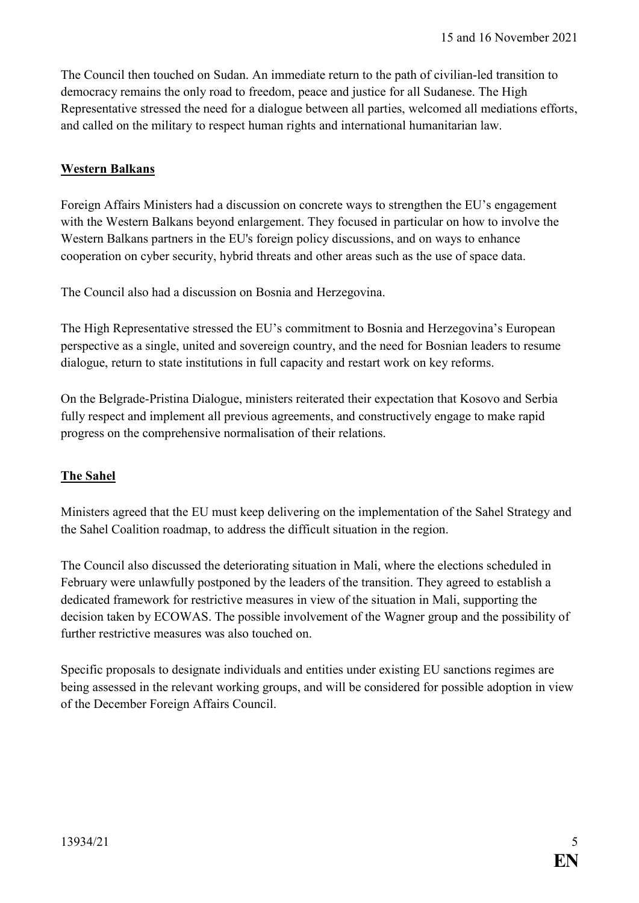The Council then touched on Sudan. An immediate return to the path of civilian-led transition to democracy remains the only road to freedom, peace and justice for all Sudanese. The High Representative stressed the need for a dialogue between all parties, welcomed all mediations efforts, and called on the military to respect human rights and international humanitarian law.

### <span id="page-4-0"></span>**Western Balkans**

Foreign Affairs Ministers had a discussion on concrete ways to strengthen the EU's engagement with the Western Balkans beyond enlargement. They focused in particular on how to involve the Western Balkans partners in the EU's foreign policy discussions, and on ways to enhance cooperation on cyber security, hybrid threats and other areas such as the use of space data.

The Council also had a discussion on Bosnia and Herzegovina.

The High Representative stressed the EU's commitment to Bosnia and Herzegovina's European perspective as a single, united and sovereign country, and the need for Bosnian leaders to resume dialogue, return to state institutions in full capacity and restart work on key reforms.

On the Belgrade-Pristina Dialogue, ministers reiterated their expectation that Kosovo and Serbia fully respect and implement all previous agreements, and constructively engage to make rapid progress on the comprehensive normalisation of their relations.

#### <span id="page-4-1"></span>**The Sahel**

Ministers agreed that the EU must keep delivering on the implementation of the Sahel Strategy and the Sahel Coalition roadmap, to address the difficult situation in the region.

The Council also discussed the deteriorating situation in Mali, where the elections scheduled in February were unlawfully postponed by the leaders of the transition. They agreed to establish a dedicated framework for restrictive measures in view of the situation in Mali, supporting the decision taken by ECOWAS. The possible involvement of the Wagner group and the possibility of further restrictive measures was also touched on.

Specific proposals to designate individuals and entities under existing EU sanctions regimes are being assessed in the relevant working groups, and will be considered for possible adoption in view of the December Foreign Affairs Council.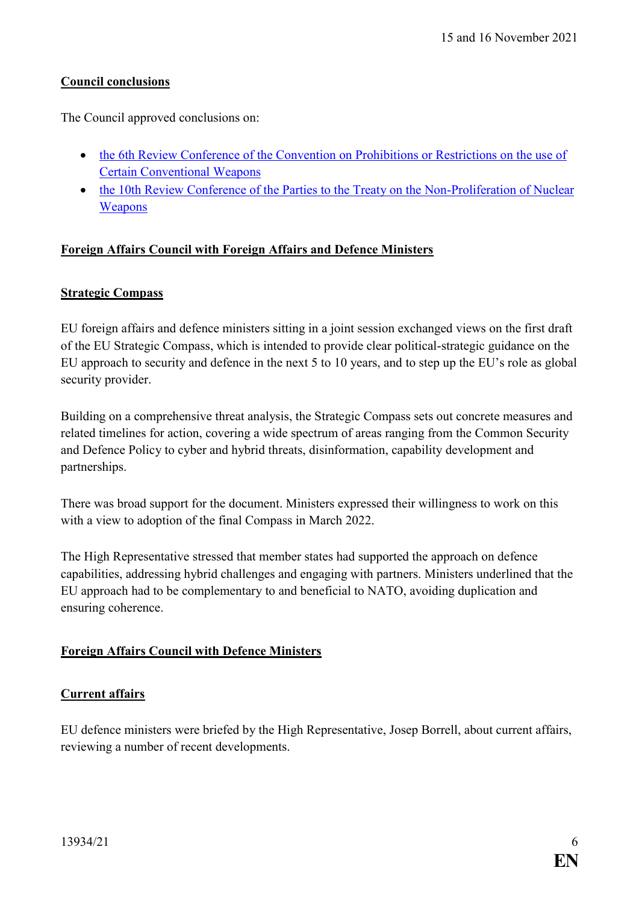# <span id="page-5-0"></span>**Council conclusions**

The Council approved conclusions on:

- [the 6th Review Conference of the Convention on Prohibitions or Restrictions on the use of](https://data.consilium.europa.eu/doc/document/ST-13244-2021-INIT/en/pdf)  [Certain Conventional Weapons](https://data.consilium.europa.eu/doc/document/ST-13244-2021-INIT/en/pdf)
- the 10th Review Conference of the Parties to the Treaty on the Non-Proliferation of Nuclear [Weapons](https://data.consilium.europa.eu/doc/document/ST-13243-2021-INIT/en/pdf)

## <span id="page-5-1"></span>**Foreign Affairs Council with Foreign Affairs and Defence Ministers**

### <span id="page-5-2"></span>**Strategic Compass**

EU foreign affairs and defence ministers sitting in a joint session exchanged views on the first draft of the EU Strategic Compass, which is intended to provide clear political-strategic guidance on the EU approach to security and defence in the next 5 to 10 years, and to step up the EU's role as global security provider.

Building on a comprehensive threat analysis, the Strategic Compass sets out concrete measures and related timelines for action, covering a wide spectrum of areas ranging from the Common Security and Defence Policy to cyber and hybrid threats, disinformation, capability development and partnerships.

There was broad support for the document. Ministers expressed their willingness to work on this with a view to adoption of the final Compass in March 2022.

The High Representative stressed that member states had supported the approach on defence capabilities, addressing hybrid challenges and engaging with partners. Ministers underlined that the EU approach had to be complementary to and beneficial to NATO, avoiding duplication and ensuring coherence.

## <span id="page-5-3"></span>**Foreign Affairs Council with Defence Ministers**

## <span id="page-5-4"></span>**Current affairs**

EU defence ministers were briefed by the High Representative, Josep Borrell, about current affairs, reviewing a number of recent developments.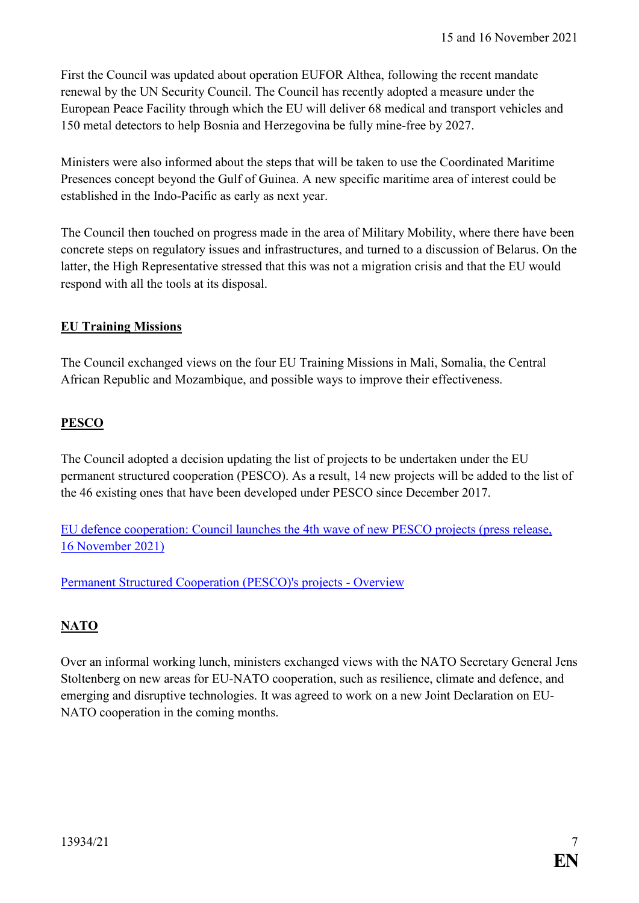First the Council was updated about operation EUFOR Althea, following the recent mandate renewal by the UN Security Council. The Council has recently adopted a measure under the European Peace Facility through which the EU will deliver 68 medical and transport vehicles and 150 metal detectors to help Bosnia and Herzegovina be fully mine-free by 2027.

Ministers were also informed about the steps that will be taken to use the Coordinated Maritime Presences concept beyond the Gulf of Guinea. A new specific maritime area of interest could be established in the Indo-Pacific as early as next year.

The Council then touched on progress made in the area of Military Mobility, where there have been concrete steps on regulatory issues and infrastructures, and turned to a discussion of Belarus. On the latter, the High Representative stressed that this was not a migration crisis and that the EU would respond with all the tools at its disposal.

# <span id="page-6-0"></span>**EU Training Missions**

The Council exchanged views on the four EU Training Missions in Mali, Somalia, the Central African Republic and Mozambique, and possible ways to improve their effectiveness.

# <span id="page-6-1"></span>**PESCO**

The Council adopted a decision updating the list of projects to be undertaken under the EU permanent structured cooperation (PESCO). As a result, 14 new projects will be added to the list of the 46 existing ones that have been developed under PESCO since December 2017.

EU defence cooperation: [Council launches the 4th wave of new PESCO projects \(press release,](https://www.consilium.europa.eu/en/press/press-releases/2021/11/16/eu-defence-cooperation-council-launches-the-4th-wave-of-new-pesco-projects/)  16 [November 2021\)](https://www.consilium.europa.eu/en/press/press-releases/2021/11/16/eu-defence-cooperation-council-launches-the-4th-wave-of-new-pesco-projects/)

[Permanent Structured Cooperation \(PESCO\)'s projects -](https://www.consilium.europa.eu/media/53013/20211115-pesco-projects-with-description.pdf) Overview

# <span id="page-6-2"></span>**NATO**

Over an informal working lunch, ministers exchanged views with the NATO Secretary General Jens Stoltenberg on new areas for EU-NATO cooperation, such as resilience, climate and defence, and emerging and disruptive technologies. It was agreed to work on a new Joint Declaration on EU-NATO cooperation in the coming months.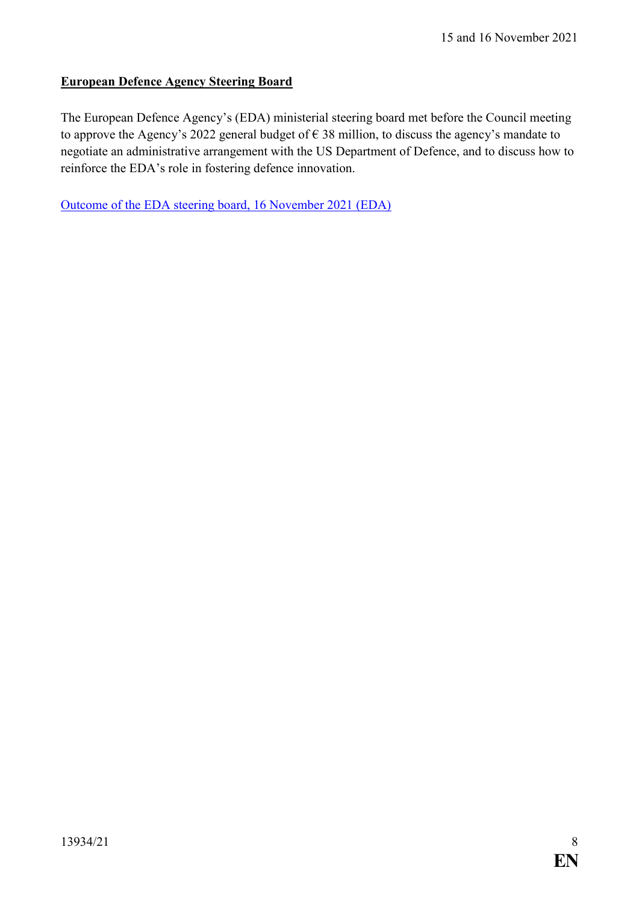# <span id="page-7-0"></span>**European Defence Agency Steering Board**

The European Defence Agency's (EDA) ministerial steering board met before the Council meeting to approve the Agency's 2022 general budget of  $\epsilon$  38 million, to discuss the agency's mandate to negotiate an administrative arrangement with the US Department of Defence, and to discuss how to reinforce the EDA's role in fostering defence innovation.

[Outcome of the EDA steering board, 16 November 2021 \(EDA\)](https://eda.europa.eu/news-and-events/news/2021/11/16/eda-steering-board-discusses-defence-innovation)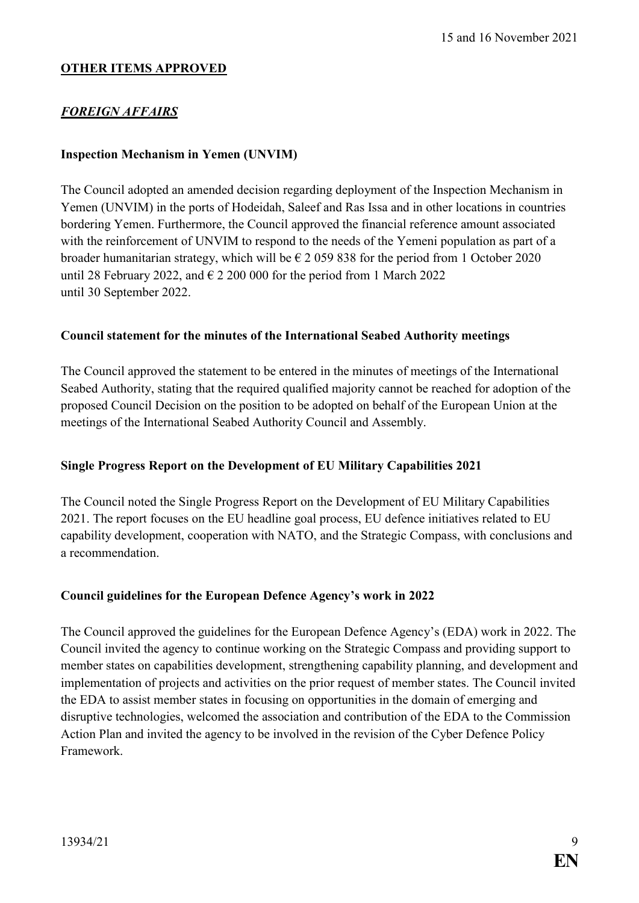## **OTHER ITEMS APPROVED**

# *FOREIGN AFFAIRS*

### <span id="page-8-0"></span>**Inspection Mechanism in Yemen (UNVIM)**

The Council adopted an amended decision regarding deployment of the Inspection Mechanism in Yemen (UNVIM) in the ports of Hodeidah, Saleef and Ras Issa and in other locations in countries bordering Yemen. Furthermore, the Council approved the financial reference amount associated with the reinforcement of UNVIM to respond to the needs of the Yemeni population as part of a broader humanitarian strategy, which will be  $\epsilon$  2 059 838 for the period from 1 October 2020 until 28 February 2022, and  $\in$  2 200 000 for the period from 1 March 2022 until 30 September 2022.

### <span id="page-8-1"></span>**Council statement for the minutes of the International Seabed Authority meetings**

The Council approved the statement to be entered in the minutes of meetings of the International Seabed Authority, stating that the required qualified majority cannot be reached for adoption of the proposed Council Decision on the position to be adopted on behalf of the European Union at the meetings of the International Seabed Authority Council and Assembly.

#### <span id="page-8-2"></span>**Single Progress Report on the Development of EU Military Capabilities 2021**

The Council noted the Single Progress Report on the Development of EU Military Capabilities 2021. The report focuses on the EU headline goal process, EU defence initiatives related to EU capability development, cooperation with NATO, and the Strategic Compass, with conclusions and a recommendation.

#### <span id="page-8-3"></span>**Council guidelines for the European Defence Agency's work in 2022**

The Council approved the guidelines for the European Defence Agency's (EDA) work in 2022. The Council invited the agency to continue working on the Strategic Compass and providing support to member states on capabilities development, strengthening capability planning, and development and implementation of projects and activities on the prior request of member states. The Council invited the EDA to assist member states in focusing on opportunities in the domain of emerging and disruptive technologies, welcomed the association and contribution of the EDA to the Commission Action Plan and invited the agency to be involved in the revision of the Cyber Defence Policy Framework.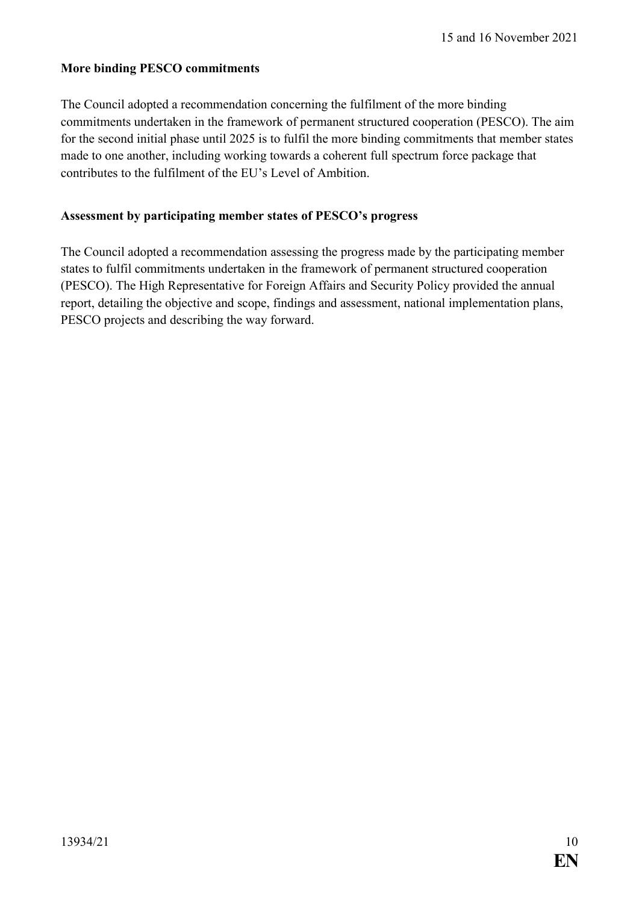### <span id="page-9-0"></span>**More binding PESCO commitments**

The Council adopted a recommendation concerning the fulfilment of the more binding commitments undertaken in the framework of permanent structured cooperation (PESCO). The aim for the second initial phase until 2025 is to fulfil the more binding commitments that member states made to one another, including working towards a coherent full spectrum force package that contributes to the fulfilment of the EU's Level of Ambition.

### <span id="page-9-1"></span>**Assessment by participating member states of PESCO's progress**

The Council adopted a recommendation assessing the progress made by the participating member states to fulfil commitments undertaken in the framework of permanent structured cooperation (PESCO). The High Representative for Foreign Affairs and Security Policy provided the annual report, detailing the objective and scope, findings and assessment, national implementation plans, PESCO projects and describing the way forward.